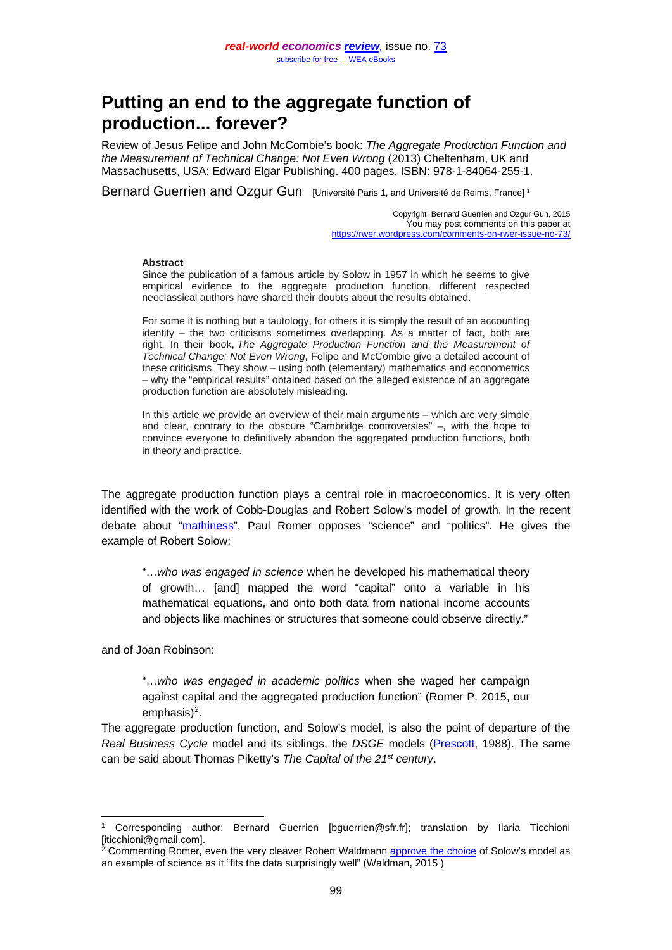# **Putting an end to the aggregate function of production... forever?**

Review of Jesus Felipe and John McCombie's book: *The Aggregate Production Function and the Measurement of Technical Change: Not Even Wrong* (2013) Cheltenham, UK and Massachusetts, USA: Edward Elgar Publishing. 400 pages. ISBN: 978-1-84064-255-1.

Bernard Guerrien and Ozgur Gun [Université Paris [1](#page-0-0), and Université de Reims, France]<sup>1</sup>

Copyright: Bernard Guerrien and Ozgur Gun, 2015 You may post comments on this paper at <https://rwer.wordpress.com/comments-on-rwer-issue-no-73/>

#### **Abstract**

Since the publication of a famous article by Solow in 1957 in which he seems to give empirical evidence to the aggregate production function, different respected neoclassical authors have shared their doubts about the results obtained.

For some it is nothing but a tautology, for others it is simply the result of an accounting identity – the two criticisms sometimes overlapping. As a matter of fact, both are right. In their book, *The Aggregate Production Function and the Measurement of Technical Change: Not Even Wrong*, Felipe and McCombie give a detailed account of these criticisms. They show – using both (elementary) mathematics and econometrics – why the "empirical results" obtained based on the alleged existence of an aggregate production function are absolutely misleading.

In this article we provide an overview of their main arguments – which are very simple and clear, contrary to the obscure "Cambridge controversies" –, with the hope to convince everyone to definitively abandon the aggregated production functions, both in theory and practice.

The aggregate production function plays a central role in macroeconomics. It is very often identified with the work of Cobb-Douglas and Robert Solow's model of growth. In the recent debate about ["mathiness"](http://paulromer.net/wp-content/uploads/2015/05/Mathiness.pdf), Paul Romer opposes "science" and "politics". He gives the example of Robert Solow:

"…*who was engaged in science* when he developed his mathematical theory of growth… [and] mapped the word "capital" onto a variable in his mathematical equations, and onto both data from national income accounts and objects like machines or structures that someone could observe directly."

and of Joan Robinson:

"…*who was engaged in academic politics* when she waged her campaign against capital and the aggregated production function" (Romer P. 2015, our emphasis $)^2$ .

The aggregate production function, and Solow's model, is also the point of departure of the *Real Business Cycle* model and its siblings, the *DSGE* models [\(Prescott,](http://casee.asu.edu/upload/Prescott/1988-SJE-Robert%20Solow) 1988). The same can be said about Thomas Piketty's *The Capital of the 21st century*.

<span id="page-0-0"></span> <sup>1</sup> Corresponding author: Bernard Guerrien [bguerrien@sfr.fr]; translation by Ilaria Ticchioni [iticchioni@gmail.com].

<span id="page-0-1"></span><sup>&</sup>lt;sup>2</sup> Commenting Romer, even the very cleaver Robert Waldmann [approve the choice](http://rjwaldmann.blogspot.fr/2015/09/paul-romer-has-3-questions.html) of Solow's model as an example of science as it "fits the data surprisingly well" (Waldman, 2015 )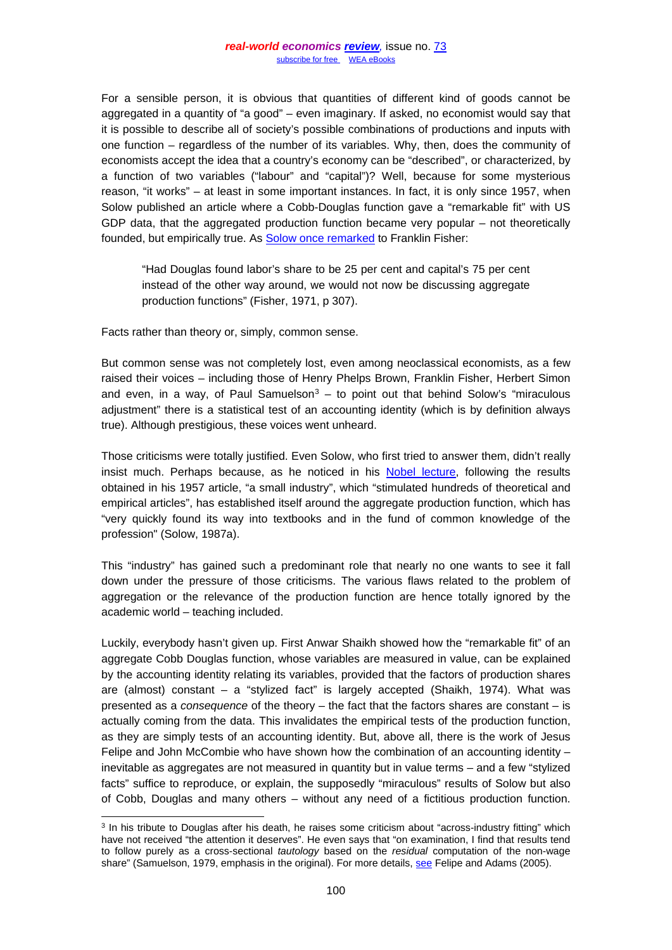For a sensible person, it is obvious that quantities of different kind of goods cannot be aggregated in a quantity of "a good" – even imaginary. If asked, no economist would say that it is possible to describe all of society's possible combinations of productions and inputs with one function – regardless of the number of its variables. Why, then, does the community of economists accept the idea that a country's economy can be "described", or characterized, by a function of two variables ("labour" and "capital")? Well, because for some mysterious reason, "it works" – at least in some important instances. In fact, it is only since 1957, when Solow published an article where a Cobb-Douglas function gave a "remarkable fit" with US GDP data, that the aggregated production function became very popular – not theoretically founded, but empirically true. As [Solow once remarked](http://dspace.mit.edu/bitstream/handle/1721.1/63262/aggregateproduct00fish.pdf?sequence=1) to Franklin Fisher:

"Had Douglas found labor's share to be 25 per cent and capital's 75 per cent instead of the other way around, we would not now be discussing aggregate production functions" (Fisher, 1971, p 307).

Facts rather than theory or, simply, common sense.

But common sense was not completely lost, even among neoclassical economists, as a few raised their voices – including those of Henry Phelps Brown, Franklin Fisher, Herbert Simon and even, in a way, of Paul Samuelson<sup>[3](#page-1-0)</sup> – to point out that behind Solow's "miraculous adjustment" there is a statistical test of an accounting identity (which is by definition always true). Although prestigious, these voices went unheard.

Those criticisms were totally justified. Even Solow, who first tried to answer them, didn't really insist much. Perhaps because, as he noticed in his [Nobel lecture,](http://www.nobelprize.org/nobel_prizes/economic-sciences/laureates/1987/solow-lecture.html) following the results obtained in his 1957 article, "a small industry", which "stimulated hundreds of theoretical and empirical articles", has established itself around the aggregate production function, which has "very quickly found its way into textbooks and in the fund of common knowledge of the profession" (Solow, 1987a).

This "industry" has gained such a predominant role that nearly no one wants to see it fall down under the pressure of those criticisms. The various flaws related to the problem of aggregation or the relevance of the production function are hence totally ignored by the academic world – teaching included.

Luckily, everybody hasn't given up. First Anwar Shaikh showed how the "remarkable fit" of an aggregate Cobb Douglas function, whose variables are measured in value, can be explained by the accounting identity relating its variables, provided that the factors of production shares are (almost) constant – a "stylized fact" is largely accepted (Shaikh, 1974). What was presented as a *consequence* of the theory – the fact that the factors shares are constant – is actually coming from the data. This invalidates the empirical tests of the production function, as they are simply tests of an accounting identity. But, above all, there is the work of Jesus Felipe and John McCombie who have shown how the combination of an accounting identity  $$ inevitable as aggregates are not measured in quantity but in value terms – and a few "stylized facts" suffice to reproduce, or explain, the supposedly "miraculous" results of Solow but also of Cobb, Douglas and many others – without any need of a fictitious production function.

<span id="page-1-0"></span><sup>&</sup>lt;sup>3</sup> In his tribute to Douglas after his death, he raises some criticism about "across-industry fitting" which have not received "the attention it deserves". He even says that "on examination, I find that results tend to follow purely as a cross-sectional *tautology* based on the *residual* computation of the non-wage share" (Samuelson, 1979, emphasis in the original). For more details, [see](http://college.holycross.edu/RePEc/eej/Archive/Volume31/V31N3P427_445.pdf) Felipe and Adams (2005).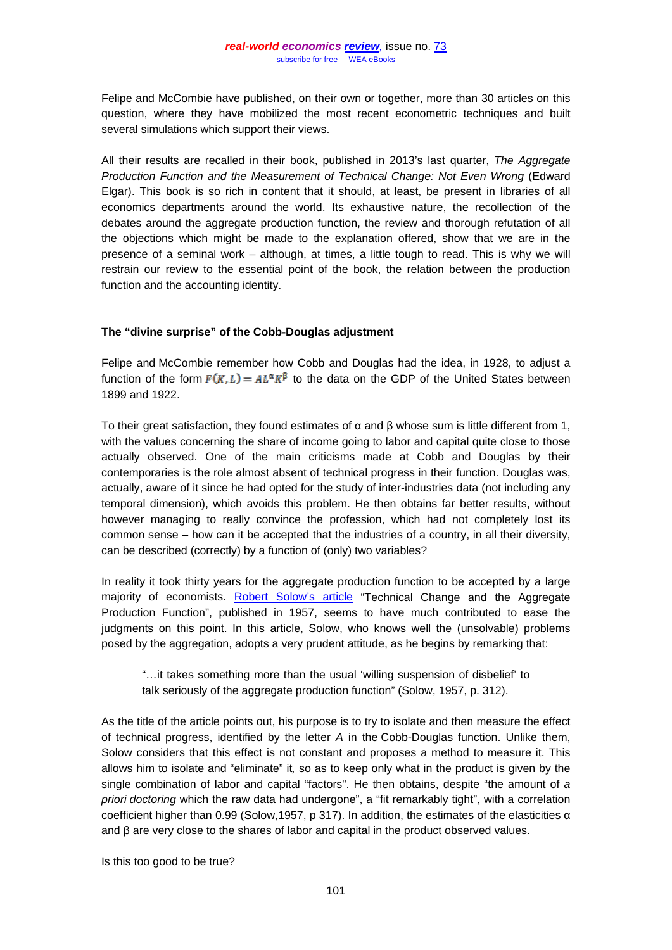Felipe and McCombie have published, on their own or together, more than 30 articles on this question, where they have mobilized the most recent econometric techniques and built several simulations which support their views.

All their results are recalled in their book, published in 2013's last quarter, *The Aggregate Production Function and the Measurement of Technical Change: Not Even Wrong (Edward* Elgar). This book is so rich in content that it should, at least, be present in libraries of all economics departments around the world. Its exhaustive nature, the recollection of the debates around the aggregate production function, the review and thorough refutation of all the objections which might be made to the explanation offered, show that we are in the presence of a seminal work – although, at times, a little tough to read. This is why we will restrain our review to the essential point of the book, the relation between the production function and the accounting identity.

## **The "divine surprise" of the Cobb-Douglas adjustment**

Felipe and McCombie remember how Cobb and Douglas had the idea, in 1928, to adjust a function of the form  $F(K, L) = A L^{\alpha} K^{\beta}$  to the data on the GDP of the United States between 1899 and 1922.

To their great satisfaction, they found estimates of α and β whose sum is little different from 1, with the values concerning the share of income going to labor and capital quite close to those actually observed. One of the main criticisms made at Cobb and Douglas by their contemporaries is the role almost absent of technical progress in their function. Douglas was, actually, aware of it since he had opted for the study of inter-industries data (not including any temporal dimension), which avoids this problem. He then obtains far better results, without however managing to really convince the profession, which had not completely lost its common sense – how can it be accepted that the industries of a country, in all their diversity, can be described (correctly) by a function of (only) two variables?

In reality it took thirty years for the aggregate production function to be accepted by a large majority of economists. [Robert Solow's article](http://www9.georgetown.edu/faculty/mh5/class/econ489/Solow-Growth-Accounting.pdf) "Technical Change and the Aggregate Production Function", published in 1957, seems to have much contributed to ease the judgments on this point. In this article, Solow, who knows well the (unsolvable) problems posed by the aggregation, adopts a very prudent attitude, as he begins by remarking that:

"…it takes something more than the usual 'willing suspension of disbelief' to talk seriously of the aggregate production function" (Solow, 1957, p. 312).

As the title of the article points out, his purpose is to try to isolate and then measure the effect of technical progress, identified by the letter *A* in the Cobb-Douglas function. Unlike them, Solow considers that this effect is not constant and proposes a method to measure it. This allows him to isolate and "eliminate" it*,* so as to keep only what in the product is given by the single combination of labor and capital "factors". He then obtains, despite "the amount of *a priori doctoring* which the raw data had undergone", a "fit remarkably tight", with a correlation coefficient higher than 0.99 (Solow,1957, p 317). In addition, the estimates of the elasticities  $α$ and  $\beta$  are very close to the shares of labor and capital in the product observed values.

Is this too good to be true?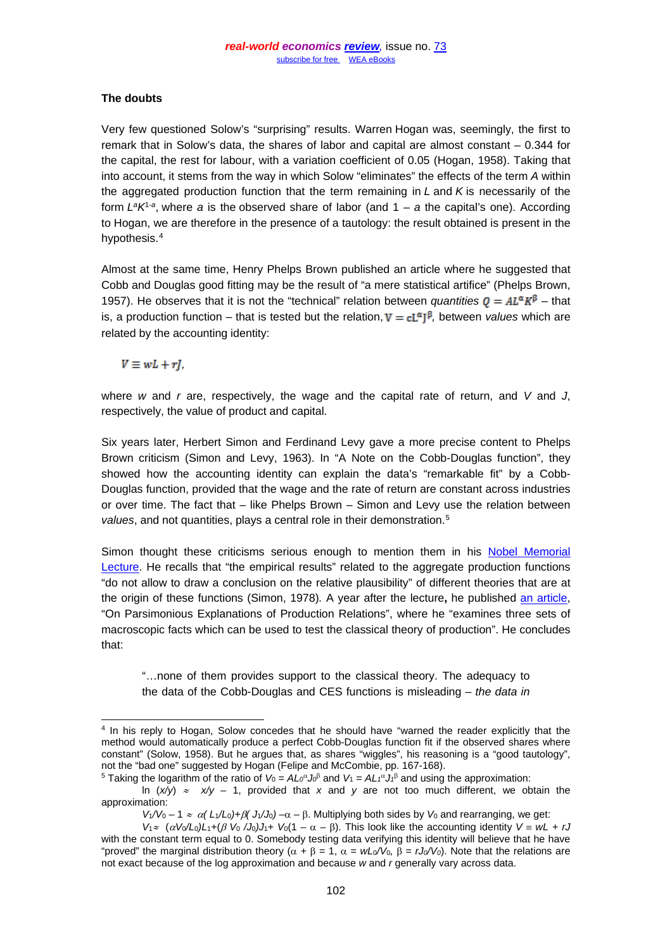## **The doubts**

Very few questioned Solow's "surprising" results. Warren Hogan was, seemingly, the first to remark that in Solow's data, the shares of labor and capital are almost constant – 0.344 for the capital, the rest for labour, with a variation coefficient of 0.05 (Hogan, 1958). Taking that into account, it stems from the way in which Solow "eliminates" the effects of the term *A* within the aggregated production function that the term remaining in *L* and *K* is necessarily of the form *LaK*1-*<sup>a</sup>*, where *a* is the observed share of labor (and 1 *– a* the capital's one). According to Hogan, we are therefore in the presence of a tautology: the result obtained is present in the hypothesis.[4](#page-3-0)

Almost at the same time, Henry Phelps Brown published an article where he suggested that Cobb and Douglas good fitting may be the result of "a mere statistical artifice" (Phelps Brown, 1957). He observes that it is not the "technical" relation between *quantities*  $\mathbf{0} = A \mathbf{L}^{\alpha} \mathbf{K}^{\beta}$  – that is, a production function – that is tested but the relation,  $V = cL^{\alpha}J^{\beta}$ , between *values* which are related by the accounting identity:

 $V \equiv wL + rL$ 

where *w* and *r* are, respectively, the wage and the capital rate of return, and *V* and *J*, respectively, the value of product and capital.

Six years later, Herbert Simon and Ferdinand Levy gave a more precise content to Phelps Brown criticism (Simon and Levy, 1963). In "A Note on the Cobb-Douglas function", they showed how the accounting identity can explain the data's "remarkable fit" by a Cobb-Douglas function, provided that the wage and the rate of return are constant across industries or over time. The fact that – like Phelps Brown – Simon and Levy use the relation between *values*, and not quantities, plays a central role in their demonstration.[5](#page-3-1)

Simon thought these criticisms serious enough to mention them in his [Nobel Memorial](http://www.nobelprize.org/nobel_prizes/economic-sciences/laureates/1978/simon-lecture.pdf)  [Lecture.](http://www.nobelprize.org/nobel_prizes/economic-sciences/laureates/1978/simon-lecture.pdf) He recalls that "the empirical results" related to the aggregate production functions "do not allow to draw a conclusion on the relative plausibility" of different theories that are at the origin of these functions (Simon, 1978)*.* A year after the lecture**,** he published [an article,](http://www.jstor.org/stable/3439661?seq=1%23page_scan_tab_contents) "On Parsimonious Explanations of Production Relations", where he "examines three sets of macroscopic facts which can be used to test the classical theory of production". He concludes that:

"…none of them provides support to the classical theory. The adequacy to the data of the Cobb-Douglas and CES functions is misleading – *the data in* 

<span id="page-3-0"></span><sup>&</sup>lt;sup>4</sup> In his reply to Hogan, Solow concedes that he should have "warned the reader explicitly that the method would automatically produce a perfect Cobb-Douglas function fit if the observed shares where constant" (Solow, 1958). But he argues that, as shares "wiggles", his reasoning is a "good tautology", not the "bad one" suggested by Hogan (Felipe and McCombie, pp. 167-168).

<sup>&</sup>lt;sup>5</sup> Taking the logarithm of the ratio of  $V_0 = A L_0^{\alpha} J_0^{\beta}$  and  $V_1 = A L_1^{\alpha} J_1^{\beta}$  and using the approximation:

<span id="page-3-1"></span>ln (*x/y*) ≈ *x/y –* 1, provided that *x* and *y* are not too much different, we obtain the approximation:

*V*<sub>1</sub>/*V*<sub>0</sub> – 1 ≈  $\alpha$ ( *L*<sub>1</sub>/*L*<sub>0</sub>)+*β*( *J*<sub>1</sub>/*J*<sub>0</sub>) – $\alpha$  – β. Multiplying both sides by *V*<sub>0</sub> and rearranging, we get:

*V*<sup>1</sup><sup>≈</sup>(α*V*0*/L*0*)L*1*+*(β *V*<sup>0</sup> */J*0*)J*1+ *V*0(1 *–* α *–* β). This look like the accounting identity *V* ≡ *wL + rJ* with the constant term equal to 0. Somebody testing data verifying this identity will believe that he have "proved" the marginal distribution theory ( $\alpha + \beta = 1$ ,  $\alpha = wL_0/V_0$ ,  $\beta = rJ_0/V_0$ ). Note that the relations are not exact because of the log approximation and because *w* and *r* generally vary across data.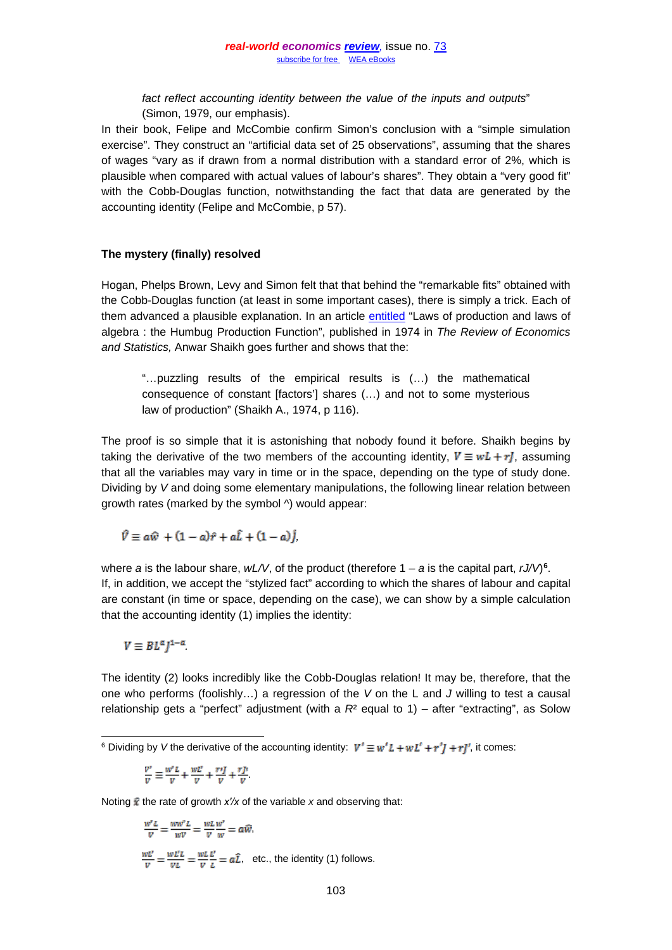*fact reflect accounting identity between the value of the inputs and outputs*" (Simon, 1979, our emphasis).

In their book, Felipe and McCombie confirm Simon's conclusion with a "simple simulation exercise". They construct an "artificial data set of 25 observations", assuming that the shares of wages "vary as if drawn from a normal distribution with a standard error of 2%, which is plausible when compared with actual values of labour's shares". They obtain a "very good fit" with the Cobb-Douglas function, notwithstanding the fact that data are generated by the accounting identity (Felipe and McCombie, p 57).

#### **The mystery (finally) resolved**

Hogan, Phelps Brown, Levy and Simon felt that that behind the "remarkable fits" obtained with the Cobb-Douglas function (at least in some important cases), there is simply a trick. Each of them advanced a plausible explanation. In an article [entitled](http://crecimientoeconomico-asiain.weebly.com/uploads/1/2/9/0/1290958/humbug.pdf) "Laws of production and laws of algebra : the Humbug Production Function", published in 1974 in *The Review of Economics and Statistics,* Anwar Shaikh goes further and shows that the:

"…puzzling results of the empirical results is (…) the mathematical consequence of constant [factors'] shares (…) and not to some mysterious law of production" (Shaikh A., 1974, p 116).

The proof is so simple that it is astonishing that nobody found it before. Shaikh begins by taking the derivative of the two members of the accounting identity,  $V \equiv wL + rJ$ , assuming that all the variables may vary in time or in the space, depending on the type of study done. Dividing by *V* and doing some elementary manipulations, the following linear relation between growth rates (marked by the symbol ^) would appear:

$$
\hat{V} \equiv a\hat{w} + (1-a)\hat{r} + a\hat{L} + (1-a)\hat{j},
$$

where *a* is the labour share, *wL/V*, of the product (therefore 1 *– a* is the capital part, *rJ/V*)**[6](#page-4-0)**. If, in addition, we accept the "stylized fact" according to which the shares of labour and capital are constant (in time or space, depending on the case), we can show by a simple calculation that the accounting identity (1) implies the identity:

$$
V\equiv BL^\alpha J^{1-\alpha}
$$

The identity (2) looks incredibly like the Cobb-Douglas relation! It may be, therefore, that the one who performs (foolishly…) a regression of the *V* on the L and *J* willing to test a causal relationship gets a "perfect" adjustment (with a  $R<sup>2</sup>$  equal to 1) – after "extracting", as Solow

$$
\frac{v^*}{v} \equiv \frac{w^*L}{v} + \frac{wL^*}{v} + \frac{r\eta}{v} + \frac{r\bar{p}}{v}.
$$

Noting  $\hat{\mathbf{x}}$  the rate of growth *x′/x* of the variable *x* and observing that:

$$
\frac{w^r L}{v} = \frac{w w^r L}{wv} = \frac{w L w^r}{v} = a\widehat{w},
$$
\n
$$
\frac{w L^r}{v} = \frac{w L^r L}{v L} = \frac{w L^r L^r}{v} = a\widehat{L}, \text{ etc., the identity (1) follows.}
$$

<span id="page-4-0"></span><sup>&</sup>lt;sup>6</sup> Dividing by *V* the derivative of the accounting identity:  $V' \equiv w' L + w L' + r' J + r J'$ , it comes: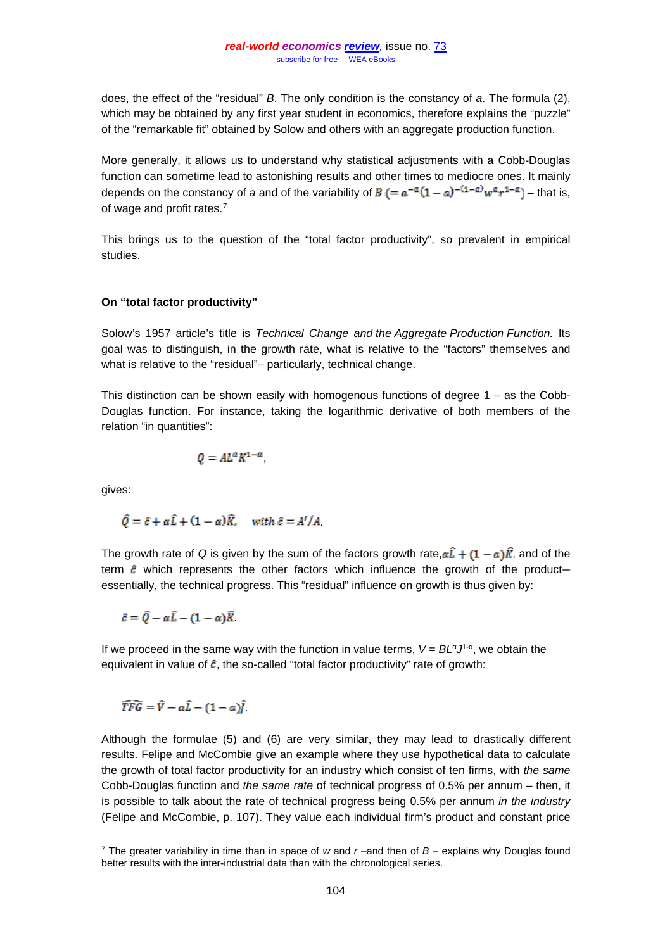does, the effect of the "residual" *B*. The only condition is the constancy of *a*. The formula (2), which may be obtained by any first year student in economics, therefore explains the "puzzle" of the "remarkable fit" obtained by Solow and others with an aggregate production function.

More generally, it allows us to understand why statistical adjustments with a Cobb-Douglas function can sometime lead to astonishing results and other times to mediocre ones. It mainly depends on the constancy of *a* and of the variability of  $B (= a^{-\alpha}(1-a)^{-(1-\alpha)}w^{\alpha}r^{1-\alpha})$  - that is, of wage and profit rates.[7](#page-5-0)

This brings us to the question of the "total factor productivity", so prevalent in empirical studies.

## **On "total factor productivity"**

Solow's 1957 article's title is *Technical Change and the Aggregate Production Function.* Its goal was to distinguish, in the growth rate, what is relative to the "factors" themselves and what is relative to the "residual"– particularly, technical change.

This distinction can be shown easily with homogenous functions of degree  $1 -$  as the Cobb-Douglas function. For instance, taking the logarithmic derivative of both members of the relation "in quantities":

$$
Q = A L^{\alpha} K^{1-\alpha},
$$

gives:

$$
\hat{Q} = \hat{c} + \alpha \hat{L} + (1 - \alpha)\hat{R}, \quad \text{with } \hat{c} = A'/A.
$$

The growth rate of *Q* is given by the sum of the factors growth rate,  $\alpha \hat{\bf I} + (1 - \alpha) \hat{\bf K}$ , and of the term  $\hat{\epsilon}$  which represents the other factors which influence the growth of the productessentially, the technical progress. This "residual" influence on growth is thus given by:

 $\hat{c} = \hat{Q} - \alpha \hat{L} - (1 - \alpha) \hat{R}$ 

If we proceed in the same way with the function in value terms,  $V = BL<sup>\alpha</sup>J<sup>1-\alpha</sup>$ , we obtain the equivalent in value of  $\hat{\epsilon}$ , the so-called "total factor productivity" rate of growth:

$$
\widehat{TFG} = \widehat{V} - a\widehat{L} - (1-a)\widehat{J}.
$$

Although the formulae (5) and (6) are very similar, they may lead to drastically different results. Felipe and McCombie give an example where they use hypothetical data to calculate the growth of total factor productivity for an industry which consist of ten firms, with *the same* Cobb-Douglas function and *the same rate* of technical progress of 0.5% per annum – then, it is possible to talk about the rate of technical progress being 0.5% per annum *in the industry* (Felipe and McCombie, p. 107). They value each individual firm's product and constant price

<span id="page-5-0"></span> <sup>7</sup> The greater variability in time than in space of *<sup>w</sup>* and *<sup>r</sup>* –and then of *<sup>B</sup>* – explains why Douglas found better results with the inter-industrial data than with the chronological series.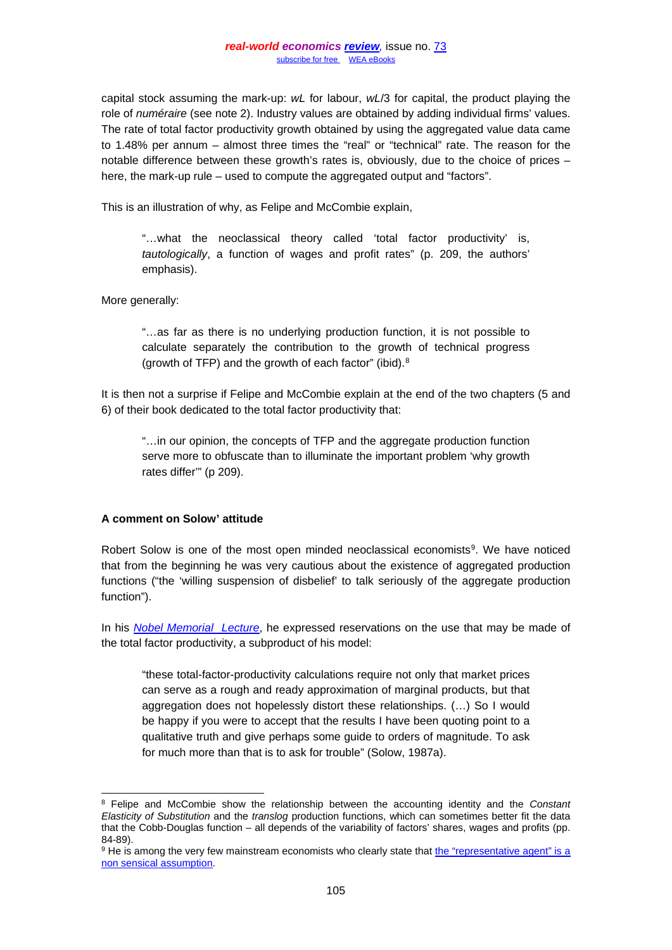capital stock assuming the mark-up: *wL* for labour, *wL*/3 for capital, the product playing the role of *numéraire* (see note 2). Industry values are obtained by adding individual firms' values. The rate of total factor productivity growth obtained by using the aggregated value data came to 1.48% per annum – almost three times the "real" or "technical" rate. The reason for the notable difference between these growth's rates is, obviously, due to the choice of prices – here, the mark-up rule – used to compute the aggregated output and "factors".

This is an illustration of why, as Felipe and McCombie explain,

"…what the neoclassical theory called 'total factor productivity' is, *tautologically*, a function of wages and profit rates" (p. 209, the authors' emphasis).

More generally:

"…as far as there is no underlying production function, it is not possible to calculate separately the contribution to the growth of technical progress (growth of TFP) and the growth of each factor" (ibid).[8](#page-6-0)

It is then not a surprise if Felipe and McCombie explain at the end of the two chapters (5 and 6) of their book dedicated to the total factor productivity that:

"…in our opinion, the concepts of TFP and the aggregate production function serve more to obfuscate than to illuminate the important problem 'why growth rates differ'" (p 209).

## **A comment on Solow' attitude**

Robert Solow is one of the most open minded neoclassical economists<sup>[9](#page-6-1)</sup>. We have noticed that from the beginning he was very cautious about the existence of aggregated production functions ("the 'willing suspension of disbelief' to talk seriously of the aggregate production function").

In his *[Nobel Memorial Lecture](http://www.nobelprize.org/nobel_prizes/economic-sciences/laureates/1987/solow-lecture.html)*, he expressed reservations on the use that may be made of the total factor productivity, a subproduct of his model:

"these total-factor-productivity calculations require not only that market prices can serve as a rough and ready approximation of marginal products, but that aggregation does not hopelessly distort these relationships. (…) So I would be happy if you were to accept that the results I have been quoting point to a qualitative truth and give perhaps some guide to orders of magnitude. To ask for much more than that is to ask for trouble" (Solow, 1987a).

<span id="page-6-0"></span> <sup>8</sup> Felipe and McCombie show the relationship between the accounting identity and the *Constant Elasticity of Substitution* and the *translog* production functions, which can sometimes better fit the data that the Cobb-Douglas function – all depends of the variability of factors' shares, wages and profits (pp.

<span id="page-6-1"></span><sup>84-89).&</sup>lt;br><sup>9</sup> He is among the very few mainstream economists who clearly state that the "representative agent" is a [non sensical assumption.](https://www0.gsb.columbia.edu/faculty/jstiglitz/festschrift/Papers/Stig-Solow.pdf)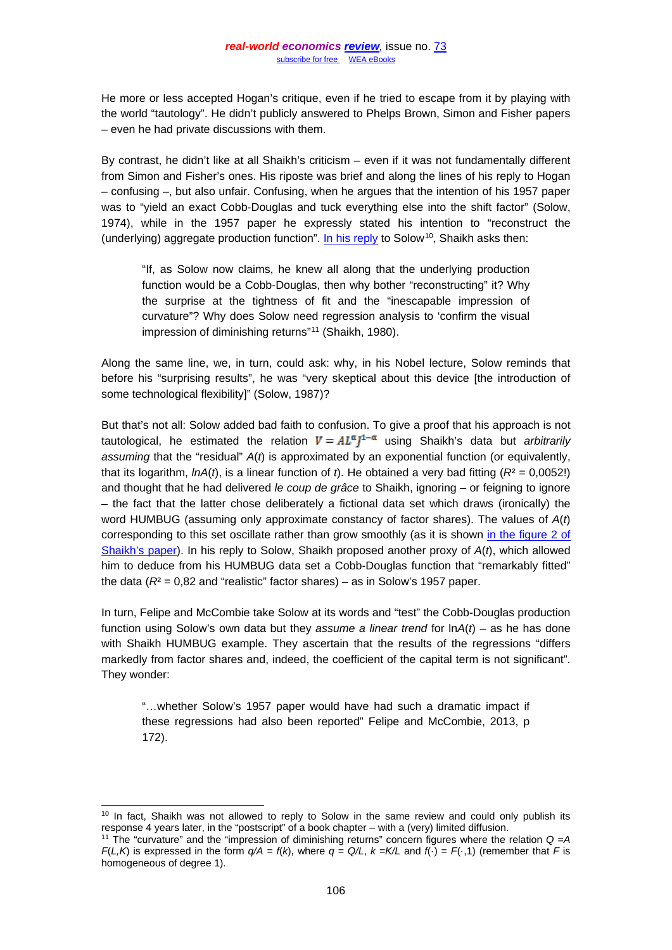He more or less accepted Hogan's critique, even if he tried to escape from it by playing with the world "tautology". He didn't publicly answered to Phelps Brown, Simon and Fisher papers – even he had private discussions with them.

By contrast, he didn't like at all Shaikh's criticism – even if it was not fundamentally different from Simon and Fisher's ones. His riposte was brief and along the lines of his reply to Hogan – confusing –, but also unfair. Confusing, when he argues that the intention of his 1957 paper was to "yield an exact Cobb-Douglas and tuck everything else into the shift factor" (Solow, 1974), while in the 1957 paper he expressly stated his intention to "reconstruct the (underlying) aggregate production function". [In his reply](https://drive.google.com/file/d/0BxvNb6ewL7kObGhMVmU5MUdfSkU/view?pli=1) to Solow<sup>10</sup>, Shaikh asks then:

"If, as Solow now claims, he knew all along that the underlying production function would be a Cobb-Douglas, then why bother "reconstructing" it? Why the surprise at the tightness of fit and the "inescapable impression of curvature"? Why does Solow need regression analysis to 'confirm the visual impression of diminishing returns"[11](#page-7-1) (Shaikh, 1980).

Along the same line, we, in turn, could ask: why, in his Nobel lecture, Solow reminds that before his "surprising results", he was "very skeptical about this device [the introduction of some technological flexibility]" (Solow, 1987)?

But that's not all: Solow added bad faith to confusion. To give a proof that his approach is not tautological, he estimated the relation  $V = A L^{\alpha} I^{1-\alpha}$  using Shaikh's data but *arbitrarily assuming* that the "residual" *A*(*t*) is approximated by an exponential function (or equivalently, that its logarithm,  $lnA(t)$ , is a linear function of  $t$ ). He obtained a very bad fitting ( $R^2 = 0.0052$ !) and thought that he had delivered *le coup de grâce* to Shaikh, ignoring – or feigning to ignore – the fact that the latter chose deliberately a fictional data set which draws (ironically) the word HUMBUG (assuming only approximate constancy of factor shares). The values of *A*(*t*) corresponding to this set oscillate rather than grow smoothly (as it is shown [in the figure 2 of](http://crecimientoeconomico-asiain.weebly.com/uploads/1/2/9/0/1290958/humbug.pdf)  [Shaikh's paper\)](http://crecimientoeconomico-asiain.weebly.com/uploads/1/2/9/0/1290958/humbug.pdf). In his reply to Solow, Shaikh proposed another proxy of *A*(*t*), which allowed him to deduce from his HUMBUG data set a Cobb-Douglas function that "remarkably fitted" the data  $(R<sup>2</sup> = 0.82$  and "realistic" factor shares) – as in Solow's 1957 paper.

In turn, Felipe and McCombie take Solow at its words and "test" the Cobb-Douglas production function using Solow's own data but they *assume a linear trend* for ln*A*(*t*) – as he has done with Shaikh HUMBUG example. They ascertain that the results of the regressions "differs markedly from factor shares and, indeed, the coefficient of the capital term is not significant". They wonder:

"…whether Solow's 1957 paper would have had such a dramatic impact if these regressions had also been reported" Felipe and McCombie, 2013, p 172).

<span id="page-7-0"></span><sup>&</sup>lt;sup>10</sup> In fact, Shaikh was not allowed to reply to Solow in the same review and could only publish its response 4 years later, in the "postscript" of a book chapter – with a (very) limited diffusion.

<span id="page-7-1"></span><sup>11</sup> The "curvature" and the "impression of diminishing returns" concern figures where the relation *Q =A F*(*L,K*) is expressed in the form  $q/A = f(k)$ , where  $q = Q/L$ ,  $k = K/L$  and  $f(\cdot) = F(\cdot,1)$  (remember that *F* is homogeneous of degree 1).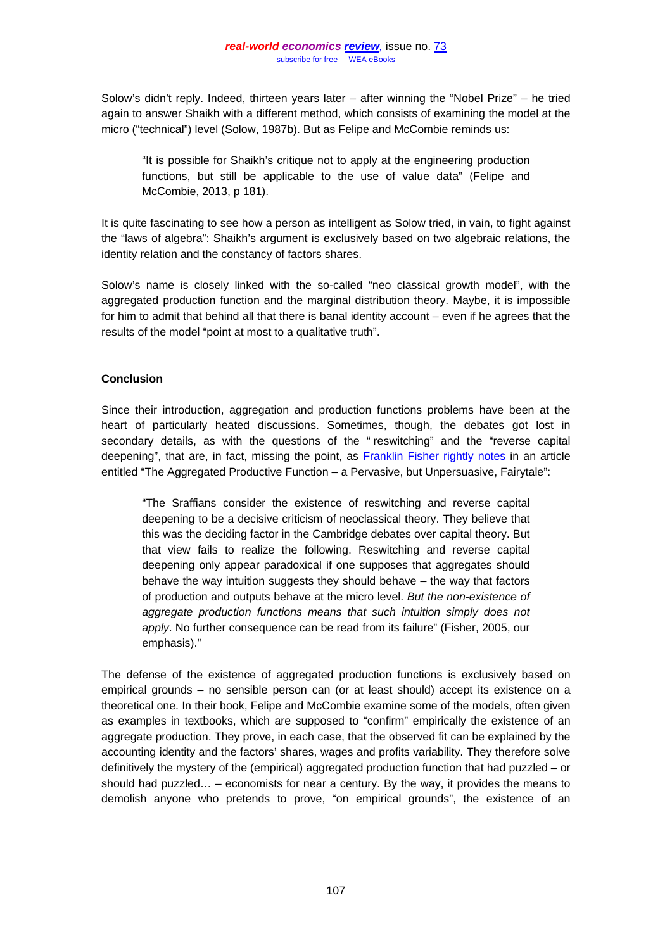Solow's didn't reply. Indeed, thirteen years later – after winning the "Nobel Prize" – he tried again to answer Shaikh with a different method, which consists of examining the model at the micro ("technical") level (Solow, 1987b). But as Felipe and McCombie reminds us:

"It is possible for Shaikh's critique not to apply at the engineering production functions, but still be applicable to the use of value data" (Felipe and McCombie, 2013, p 181).

It is quite fascinating to see how a person as intelligent as Solow tried, in vain, to fight against the "laws of algebra": Shaikh's argument is exclusively based on two algebraic relations, the identity relation and the constancy of factors shares.

Solow's name is closely linked with the so-called "neo classical growth model", with the aggregated production function and the marginal distribution theory. Maybe, it is impossible for him to admit that behind all that there is banal identity account – even if he agrees that the results of the model "point at most to a qualitative truth".

# **Conclusion**

Since their introduction, aggregation and production functions problems have been at the heart of particularly heated discussions. Sometimes, though, the debates got lost in secondary details, as with the questions of the " reswitching" and the "reverse capital deepening", that are, in fact, missing the point, as [Franklin Fisher rightly notes](http://college.holycross.edu/eej/Volume31/V31N3P489_491.pdf) in an article entitled "The Aggregated Productive Function – a Pervasive, but Unpersuasive, Fairytale":

"The Sraffians consider the existence of reswitching and reverse capital deepening to be a decisive criticism of neoclassical theory. They believe that this was the deciding factor in the Cambridge debates over capital theory. But that view fails to realize the following. Reswitching and reverse capital deepening only appear paradoxical if one supposes that aggregates should behave the way intuition suggests they should behave – the way that factors of production and outputs behave at the micro level. *But the non-existence of aggregate production functions means that such intuition simply does not apply*. No further consequence can be read from its failure" (Fisher, 2005, our emphasis)."

The defense of the existence of aggregated production functions is exclusively based on empirical grounds – no sensible person can (or at least should) accept its existence on a theoretical one. In their book, Felipe and McCombie examine some of the models, often given as examples in textbooks, which are supposed to "confirm" empirically the existence of an aggregate production. They prove, in each case, that the observed fit can be explained by the accounting identity and the factors' shares, wages and profits variability. They therefore solve definitively the mystery of the (empirical) aggregated production function that had puzzled – or should had puzzled… – economists for near a century. By the way, it provides the means to demolish anyone who pretends to prove, "on empirical grounds", the existence of an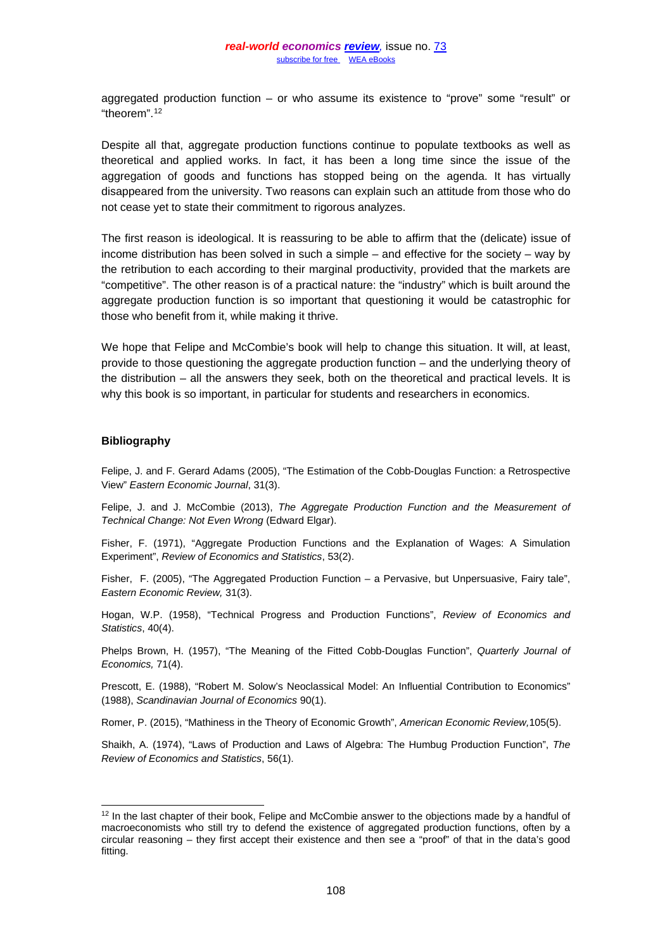aggregated production function  $-$  or who assume its existence to "prove" some "result" or "theorem"[.12](#page-9-0)

Despite all that, aggregate production functions continue to populate textbooks as well as theoretical and applied works. In fact, it has been a long time since the issue of the aggregation of goods and functions has stopped being on the agenda. It has virtually disappeared from the university. Two reasons can explain such an attitude from those who do not cease yet to state their commitment to rigorous analyzes.

The first reason is ideological. It is reassuring to be able to affirm that the (delicate) issue of income distribution has been solved in such a simple – and effective for the society – way by the retribution to each according to their marginal productivity, provided that the markets are "competitive". The other reason is of a practical nature: the "industry" which is built around the aggregate production function is so important that questioning it would be catastrophic for those who benefit from it, while making it thrive.

We hope that Felipe and McCombie's book will help to change this situation. It will, at least, provide to those questioning the aggregate production function – and the underlying theory of the distribution – all the answers they seek, both on the theoretical and practical levels. It is why this book is so important, in particular for students and researchers in economics.

#### **Bibliography**

Felipe, J. and F. Gerard Adams (2005), "The Estimation of the Cobb-Douglas Function: a Retrospective View" *Eastern Economic Journal*, 31(3).

Felipe, J. and J. McCombie (2013), *The Aggregate Production Function and the Measurement of Technical Change: Not Even Wrong* (Edward Elgar).

Fisher, F. (1971), "Aggregate Production Functions and the Explanation of Wages: A Simulation Experiment", *Review of Economics and Statistics*, 53(2).

Fisher, F. (2005), "The Aggregated Production Function – a Pervasive, but Unpersuasive, Fairy tale", *Eastern Economic Review,* 31(3).

Hogan, W.P. (1958), "Technical Progress and Production Functions", *Review of Economics and Statistics*, 40(4).

Phelps Brown, H. (1957), "The Meaning of the Fitted Cobb-Douglas Function", *Quarterly Journal of Economics,* 71(4).

Prescott, E. (1988), "Robert M. Solow's Neoclassical Model: An Influential Contribution to Economics" (1988), *Scandinavian Journal of Economics* 90(1).

Romer, P. (2015), "Mathiness in the Theory of Economic Growth", *American Economic Review,*105(5).

Shaikh, A. (1974), "Laws of Production and Laws of Algebra: The Humbug Production Function", *The Review of Economics and Statistics*, 56(1).

<span id="page-9-0"></span><sup>&</sup>lt;sup>12</sup> In the last chapter of their book, Felipe and McCombie answer to the objections made by a handful of macroeconomists who still try to defend the existence of aggregated production functions, often by a circular reasoning – they first accept their existence and then see a "proof" of that in the data's good fitting.